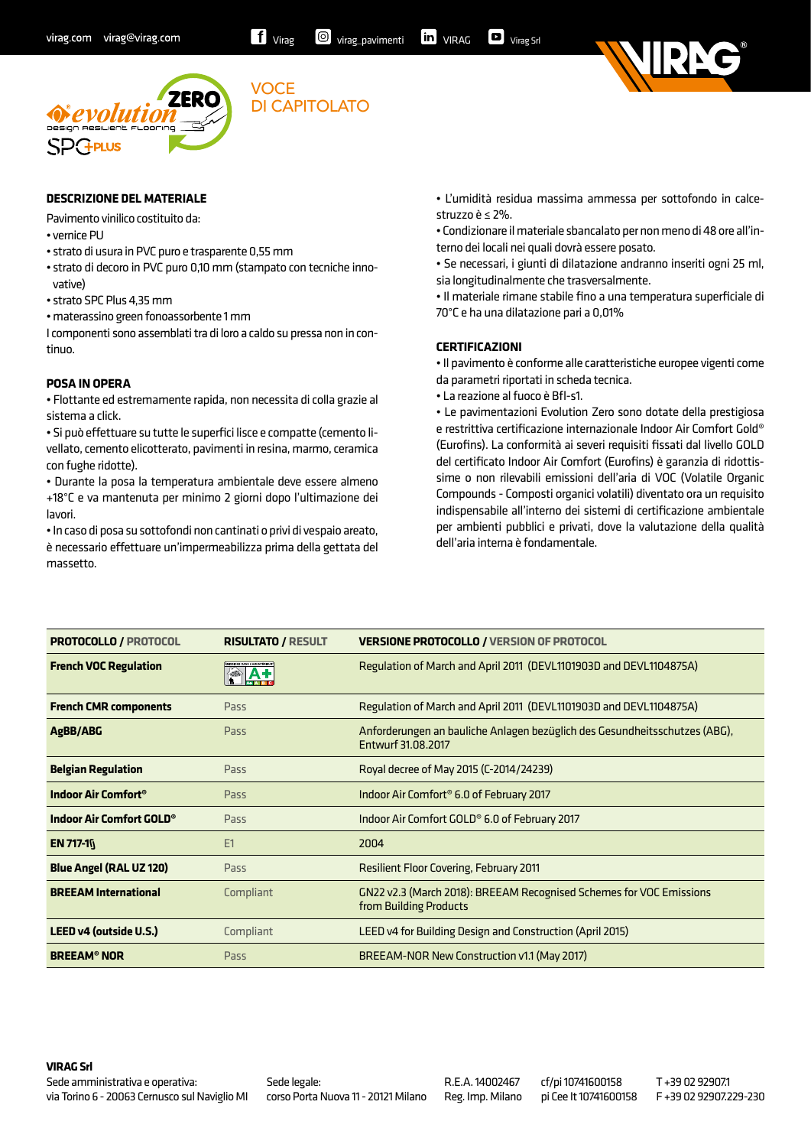



### **DESCRIZIONE DEL MATERIALE**

Pavimento vinilico costituito da:

• vernice PU

- strato di usura in PVC puro e trasparente 0,55 mm
- strato di decoro in PVC puro 0,10 mm (stampato con tecniche innovative)

**VOCE** 

DI CAPITOLATO

- strato SPC Plus 4,35 mm
- materassino green fonoassorbente 1 mm

I componenti sono assemblati tra di loro a caldo su pressa non in continuo.

# **POSA IN OPERA**

• Flottante ed estremamente rapida, non necessita di colla grazie al sistema a click.

• Si può effettuare su tutte le superfici lisce e compatte (cemento livellato, cemento elicotterato, pavimenti in resina, marmo, ceramica con fughe ridotte).

• Durante la posa la temperatura ambientale deve essere almeno +18°C e va mantenuta per minimo 2 giorni dopo l'ultimazione dei lavori.

• In caso di posa su sottofondi non cantinati o privi di vespaio areato, è necessario effettuare un'impermeabilizza prima della gettata del massetto.

• L'umidità residua massima ammessa per sottofondo in calcestruzzo è ≤ 2%.

• Condizionare il materiale sbancalato per non meno di 48 ore all'interno dei locali nei quali dovrà essere posato.

• Se necessari, i giunti di dilatazione andranno inseriti ogni 25 ml, sia longitudinalmente che trasversalmente.

• Il materiale rimane stabile fino a una temperatura superficiale di 70°C e ha una dilatazione pari a 0,01%

#### **CERTIFICAZIONI**

• Il pavimento è conforme alle caratteristiche europee vigenti come da parametri riportati in scheda tecnica.

• La reazione al fuoco è Bfl-s1.

• Le pavimentazioni Evolution Zero sono dotate della prestigiosa e restrittiva certificazione internazionale Indoor Air Comfort Gold® (Eurofins). La conformità ai severi requisiti fissati dal livello GOLD del certificato Indoor Air Comfort (Eurofins) è garanzia di ridottissime o non rilevabili emissioni dell'aria di VOC (Volatile Organic Compounds - Composti organici volatili) diventato ora un requisito indispensabile all'interno dei sistemi di certificazione ambientale per ambienti pubblici e privati, dove la valutazione della qualità dell'aria interna è fondamentale.

| <b>PROTOCOLLO / PROTOCOL</b>         | <b>RISULTATO / RESULT</b> | <b>VERSIONE PROTOCOLLO / VERSION OF PROTOCOL</b>                                                 |
|--------------------------------------|---------------------------|--------------------------------------------------------------------------------------------------|
| <b>French VOC Regulation</b>         |                           | Regulation of March and April 2011 (DEVL1101903D and DEVL1104875A)                               |
| <b>French CMR components</b>         | Pass                      | Regulation of March and April 2011 (DEVL1101903D and DEVL1104875A)                               |
| AgBB/ABG                             | Pass                      | Anforderungen an bauliche Anlagen bezüglich des Gesundheitsschutzes (ABG),<br>Entwurf 31.08.2017 |
| <b>Belgian Regulation</b>            | Pass                      | Royal decree of May 2015 (C-2014/24239)                                                          |
| Indoor Air Comfort <sup>®</sup>      | Pass                      | Indoor Air Comfort <sup>®</sup> 6.0 of February 2017                                             |
| Indoor Air Comfort GOLD <sup>®</sup> | Pass                      | Indoor Air Comfort GOLD <sup>®</sup> 6.0 of February 2017                                        |
| <b>EN 717-10</b>                     | E1                        | 2004                                                                                             |
| <b>Blue Angel (RAL UZ 120)</b>       | Pass                      | <b>Resilient Floor Covering, February 2011</b>                                                   |
| <b>BREEAM International</b>          | Compliant                 | GN22 v2.3 (March 2018): BREEAM Recognised Schemes for VOC Emissions<br>from Building Products    |
| LEED v4 (outside U.S.)               | Compliant                 | LEED v4 for Building Design and Construction (April 2015)                                        |
| <b>BREEAM<sup>®</sup> NOR</b>        | Pass                      | BREEAM-NOR New Construction v1.1 (May 2017)                                                      |